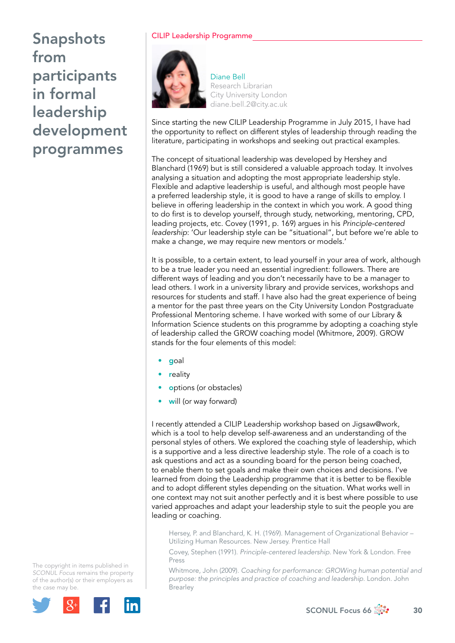## CILIP Leadership Programme



Diane Bell Research Librarian City University London [diane.bell.2@city.ac.uk](mailto:diane.bell.2@city.ac.uk)

Since starting the new CILIP Leadership Programme in July 2015, I have had the opportunity to reflect on different styles of leadership through reading the literature, participating in workshops and seeking out practical examples.

The concept of situational leadership was developed by Hershey and Blanchard (1969) but is still considered a valuable approach today. It involves analysing a situation and adopting the most appropriate leadership style. Flexible and adaptive leadership is useful, and although most people have a preferred leadership style, it is good to have a range of skills to employ. I believe in offering leadership in the context in which you work. A good thing to do first is to develop yourself, through study, networking, mentoring, CPD, leading projects, etc. Covey (1991, p. 169) argues in his *Principle-centered leadership*: 'Our leadership style can be "situational", but before we're able to make a change, we may require new mentors or models.'

It is possible, to a certain extent, to lead yourself in your area of work, although to be a true leader you need an essential ingredient: followers. There are different ways of leading and you don't necessarily have to be a manager to lead others. I work in a university library and provide services, workshops and resources for students and staff. I have also had the great experience of being a mentor for the past three years on the City University London Postgraduate Professional Mentoring scheme. I have worked with some of our Library & Information Science students on this programme by adopting a coaching style of leadership called the GROW coaching model (Whitmore, 2009). GROW stands for the four elements of this model:

- goal
- **r**eality
- options (or obstacles)
- will (or way forward)

I recently attended a CILIP Leadership workshop based on Jigsaw@work, which is a tool to help develop self-awareness and an understanding of the personal styles of others. We explored the coaching style of leadership, which is a supportive and a less directive leadership style. The role of a coach is to ask questions and act as a sounding board for the person being coached, to enable them to set goals and make their own choices and decisions. I've learned from doing the Leadership programme that it is better to be flexible and to adopt different styles depending on the situation. What works well in one context may not suit another perfectly and it is best where possible to use varied approaches and adapt your leadership style to suit the people you are leading or coaching.

Hersey, P. and Blanchard, K. H. (1969). Management of Organizational Behavior – Utilizing Human Resources. New Jersey. Prentice Hall

Covey, Stephen (1991). *Principle-centered leadership*. New York & London. Free Press

Whitmore, John (2009). *Coaching for performance: GROWing human potential and purpose: the principles and practice of coaching and leadership*. London. John Brearley



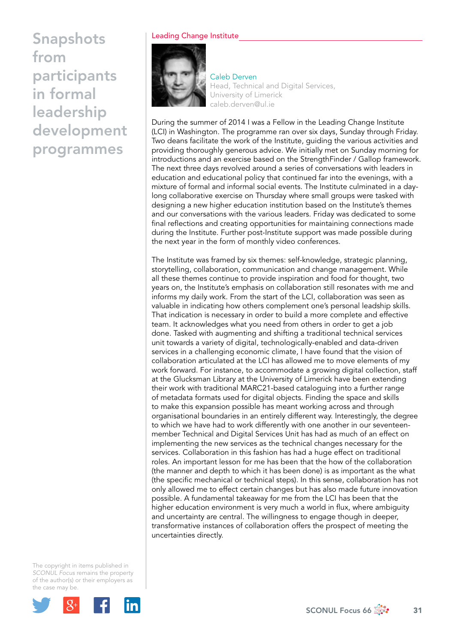## Leading Change Institute



Caleb Derven Head, Technical and Digital Services, University of Limerick [caleb.derven@ul.ie](mailto:caleb.derven@ul.ie)

During the summer of 2014 I was a Fellow in the Leading Change Institute (LCI) in Washington. The programme ran over six days, Sunday through Friday. Two deans facilitate the work of the Institute, guiding the various activities and providing thoroughly generous advice. We initially met on Sunday morning for introductions and an exercise based on the StrengthFinder / Gallop framework. The next three days revolved around a series of conversations with leaders in education and educational policy that continued far into the evenings, with a mixture of formal and informal social events. The Institute culminated in a daylong collaborative exercise on Thursday where small groups were tasked with designing a new higher education institution based on the Institute's themes and our conversations with the various leaders. Friday was dedicated to some final reflections and creating opportunities for maintaining connections made during the Institute. Further post-Institute support was made possible during the next year in the form of monthly video conferences.

The Institute was framed by six themes: self-knowledge, strategic planning, storytelling, collaboration, communication and change management. While all these themes continue to provide inspiration and food for thought, two years on, the Institute's emphasis on collaboration still resonates with me and informs my daily work. From the start of the LCI, collaboration was seen as valuable in indicating how others complement one's personal leadship skills. That indication is necessary in order to build a more complete and effective team. It acknowledges what you need from others in order to get a job done. Tasked with augmenting and shifting a traditional technical services unit towards a variety of digital, technologically-enabled and data-driven services in a challenging economic climate, I have found that the vision of collaboration articulated at the LCI has allowed me to move elements of my work forward. For instance, to accommodate a growing digital collection, staff at the Glucksman Library at the University of Limerick have been extending their work with traditional MARC21-based cataloguing into a further range of metadata formats used for digital objects. Finding the space and skills to make this expansion possible has meant working across and through organisational boundaries in an entirely different way. Interestingly, the degree to which we have had to work differently with one another in our seventeenmember Technical and Digital Services Unit has had as much of an effect on implementing the new services as the technical changes necessary for the services. Collaboration in this fashion has had a huge effect on traditional roles. An important lesson for me has been that the how of the collaboration (the manner and depth to which it has been done) is as important as the what (the specific mechanical or technical steps). In this sense, collaboration has not only allowed me to effect certain changes but has also made future innovation possible. A fundamental takeaway for me from the LCI has been that the higher education environment is very much a world in flux, where ambiguity and uncertainty are central. The willingness to engage though in deeper, transformative instances of collaboration offers the prospect of meeting the uncertainties directly.

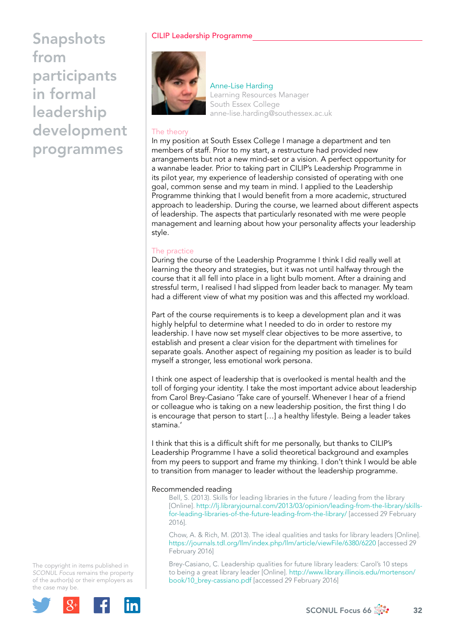## CILIP Leadership Programme



Anne-Lise Harding Learning Resources Manager South Essex College [anne-lise.harding@southessex.ac.uk](mailto:anne-lise.harding@southessex.ac.uk) 

## The theory

In my position at South Essex College I manage a department and ten members of staff. Prior to my start, a restructure had provided new arrangements but not a new mind-set or a vision. A perfect opportunity for a wannabe leader. Prior to taking part in CILIP's Leadership Programme in its pilot year, my experience of leadership consisted of operating with one goal, common sense and my team in mind. I applied to the Leadership Programme thinking that I would benefit from a more academic, structured approach to leadership. During the course, we learned about different aspects of leadership. The aspects that particularly resonated with me were people management and learning about how your personality affects your leadership style.

## The practice

During the course of the Leadership Programme I think I did really well at learning the theory and strategies, but it was not until halfway through the course that it all fell into place in a light bulb moment. After a draining and stressful term, I realised I had slipped from leader back to manager. My team had a different view of what my position was and this affected my workload.

Part of the course requirements is to keep a development plan and it was highly helpful to determine what I needed to do in order to restore my leadership. I have now set myself clear objectives to be more assertive, to establish and present a clear vision for the department with timelines for separate goals. Another aspect of regaining my position as leader is to build myself a stronger, less emotional work persona.

I think one aspect of leadership that is overlooked is mental health and the toll of forging your identity. I take the most important advice about leadership from Carol Brey-Casiano 'Take care of yourself. Whenever I hear of a friend or colleague who is taking on a new leadership position, the first thing I do is encourage that person to start […] a healthy lifestyle. Being a leader takes stamina.'

I think that this is a difficult shift for me personally, but thanks to CILIP's Leadership Programme I have a solid theoretical background and examples from my peers to support and frame my thinking. I don't think I would be able to transition from manager to leader without the leadership programme.

### Recommended reading

Bell, S. (2013). Skills for leading libraries in the future / leading from the library [Online]. [http://lj.libraryjournal.com/2013/03/opinion/leading-from-the-library/skills](http://lj.libraryjournal.com/2013/03/opinion/leading-from-the-library/skills-for-leading-libraries-of-the-future-leading-from-the-library/)for-leading-libraries-of-the-future-leading-from-the-library/ [accessed 29 February 2016].

Chow, A. & Rich, M. (2013). The ideal qualities and tasks for library leaders [Online]. <https://journals.tdl.org/llm/index.php/llm/article/viewFile/6380/6220> [accessed 29 February 2016]

Brey-Casiano, C. Leadership qualities for future library leaders: Carol's 10 steps to being a great library leader [Online]. [http://www.library.illinois.edu/mortenson/](http://www.library.illinois.edu/mortenson/book/10_brey-cassiano.pdf) [book/10\\_brey-cassiano.pdf](http://www.library.illinois.edu/mortenson/book/10_brey-cassiano.pdf) [accessed 29 February 2016]

The copyright in items published in *SCONUL Focus* remains the property of the author(s) or their employers as the case may be.



SCONUL Focus 66  $\frac{1}{200}$  32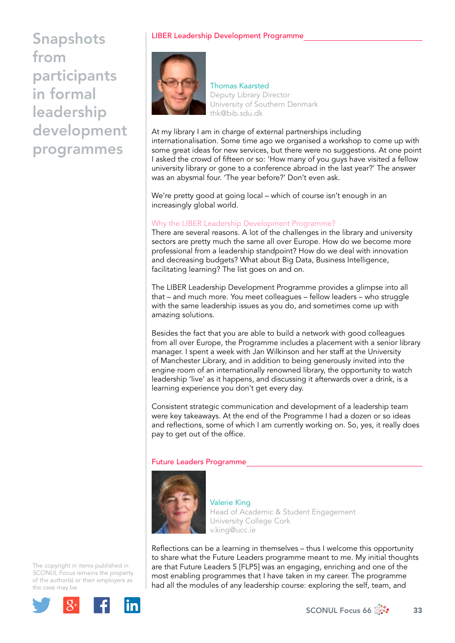## LIBER Leadership Development Programme



Thomas Kaarsted Deputy Library Director University of Southern Denmark [thk@bib.sdu.dk](mailto:thk@bib.sdu.dk)

At my library I am in charge of external partnerships including internationalisation. Some time ago we organised a workshop to come up with some great ideas for new services, but there were no suggestions. At one point I asked the crowd of fifteen or so: 'How many of you guys have visited a fellow university library or gone to a conference abroad in the last year?' The answer was an abysmal four. 'The year before?' Don't even ask.

We're pretty good at going local – which of course isn't enough in an increasingly global world.

## Why the LIBER Leadership Development Programme?

There are several reasons. A lot of the challenges in the library and university sectors are pretty much the same all over Europe. How do we become more professional from a leadership standpoint? How do we deal with innovation and decreasing budgets? What about Big Data, Business Intelligence, facilitating learning? The list goes on and on.

The LIBER Leadership Development Programme provides a glimpse into all that – and much more. You meet colleagues – fellow leaders – who struggle with the same leadership issues as you do, and sometimes come up with amazing solutions.

Besides the fact that you are able to build a network with good colleagues from all over Europe, the Programme includes a placement with a senior library manager. I spent a week with Jan Wilkinson and her staff at the University of Manchester Library, and in addition to being generously invited into the engine room of an internationally renowned library, the opportunity to watch leadership 'live' as it happens, and discussing it afterwards over a drink, is a learning experience you don't get every day.

Consistent strategic communication and development of a leadership team were key takeaways. At the end of the Programme I had a dozen or so ideas and reflections, some of which I am currently working on. So, yes, it really does pay to get out of the office.

### Future Leaders Programme



Valerie King Head of Academic & Student Engagement University College Cork [v.king@ucc.ie](mailto:v.king@ucc.ie)

Reflections can be a learning in themselves – thus I welcome this opportunity to share what the Future Leaders programme meant to me. My initial thoughts are that Future Leaders 5 [FLP5] was an engaging, enriching and one of the most enabling programmes that I have taken in my career. The programme had all the modules of any leadership course: exploring the self, team, and

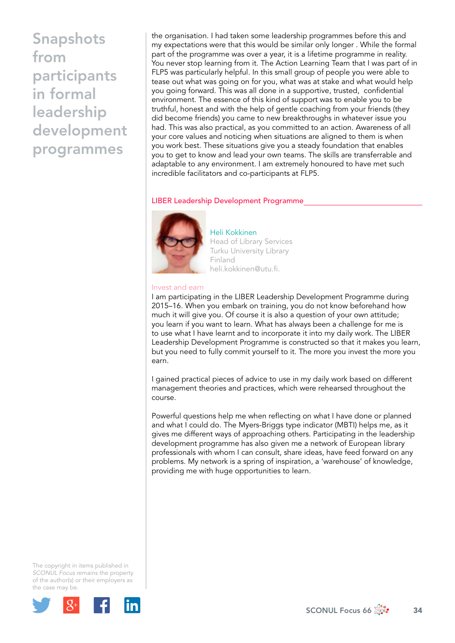the organisation. I had taken some leadership programmes before this and my expectations were that this would be similar only longer . While the formal part of the programme was over a year, it is a lifetime programme in reality. You never stop learning from it. The Action Learning Team that I was part of in FLP5 was particularly helpful. In this small group of people you were able to tease out what was going on for you, what was at stake and what would help you going forward. This was all done in a supportive, trusted, confidential environment. The essence of this kind of support was to enable you to be truthful, honest and with the help of gentle coaching from your friends (they did become friends) you came to new breakthroughs in whatever issue you had. This was also practical, as you committed to an action. Awareness of all your core values and noticing when situations are aligned to them is when you work best. These situations give you a steady foundation that enables you to get to know and lead your own teams. The skills are transferrable and adaptable to any environment. I am extremely honoured to have met such incredible facilitators and co-participants at FLP5.

## LIBER Leadership Development Programme



Heli Kokkinen Head of Library Services Turku University Library Finland [heli.kokkinen@utu.fi.](mailto:heli.kokkinen@utu.fi)

#### Invest and earn

I am participating in the LIBER Leadership Development Programme during 2015–16. When you embark on training, you do not know beforehand how much it will give you. Of course it is also a question of your own attitude; you learn if you want to learn. What has always been a challenge for me is to use what I have learnt and to incorporate it into my daily work. The LIBER Leadership Development Programme is constructed so that it makes you learn, but you need to fully commit yourself to it. The more you invest the more you earn.

I gained practical pieces of advice to use in my daily work based on different management theories and practices, which were rehearsed throughout the course.

Powerful questions help me when reflecting on what I have done or planned and what I could do. The Myers-Briggs type indicator (MBTI) helps me, as it gives me different ways of approaching others. Participating in the leadership development programme has also given me a network of European library professionals with whom I can consult, share ideas, have feed forward on any problems. My network is a spring of inspiration, a 'warehouse' of knowledge, providing me with huge opportunities to learn.

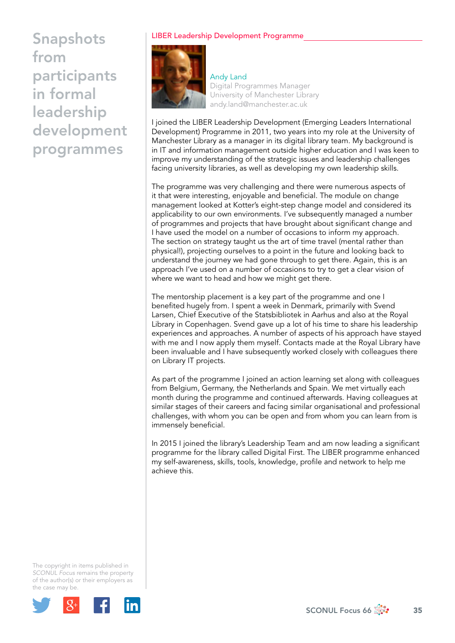## LIBER Leadership Development Programme



Andy Land Digital Programmes Manager University of Manchester Library [andy.land@manchester.ac.uk](mailto:andy.land@manchester.ac.uk)

I joined the LIBER Leadership Development (Emerging Leaders International Development) Programme in 2011, two years into my role at the University of Manchester Library as a manager in its digital library team. My background is in IT and information management outside higher education and I was keen to improve my understanding of the strategic issues and leadership challenges facing university libraries, as well as developing my own leadership skills.

The programme was very challenging and there were numerous aspects of it that were interesting, enjoyable and beneficial. The module on change management looked at Kotter's eight-step change model and considered its applicability to our own environments. I've subsequently managed a number of programmes and projects that have brought about significant change and I have used the model on a number of occasions to inform my approach. The section on strategy taught us the art of time travel (mental rather than physical!), projecting ourselves to a point in the future and looking back to understand the journey we had gone through to get there. Again, this is an approach I've used on a number of occasions to try to get a clear vision of where we want to head and how we might get there.

The mentorship placement is a key part of the programme and one I benefited hugely from. I spent a week in Denmark, primarily with Svend Larsen, Chief Executive of the Statsbibliotek in Aarhus and also at the Royal Library in Copenhagen. Svend gave up a lot of his time to share his leadership experiences and approaches. A number of aspects of his approach have stayed with me and I now apply them myself. Contacts made at the Royal Library have been invaluable and I have subsequently worked closely with colleagues there on Library IT projects.

As part of the programme I joined an action learning set along with colleagues from Belgium, Germany, the Netherlands and Spain. We met virtually each month during the programme and continued afterwards. Having colleagues at similar stages of their careers and facing similar organisational and professional challenges, with whom you can be open and from whom you can learn from is immensely beneficial.

In 2015 I joined the library's Leadership Team and am now leading a significant programme for the library called Digital First. The LIBER programme enhanced my self-awareness, skills, tools, knowledge, profile and network to help me achieve this.

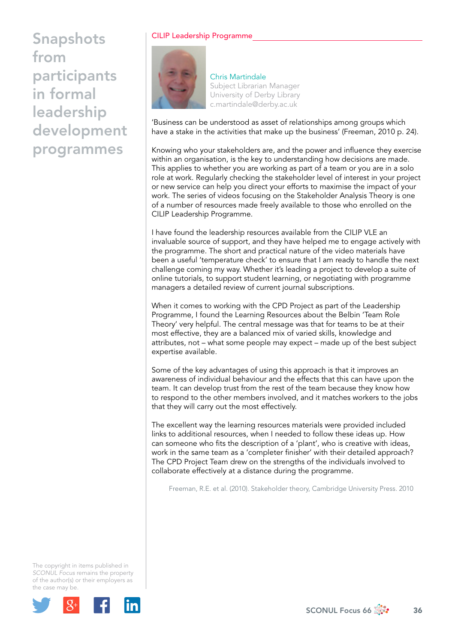## CILIP Leadership Programme



Chris Martindale Subject Librarian Manager University of Derby Library [c.martindale@derby.ac.uk](mailto:c.martindale@derby.ac.uk)

'Business can be understood as asset of relationships among groups which have a stake in the activities that make up the business' (Freeman, 2010 p. 24).

Knowing who your stakeholders are, and the power and influence they exercise within an organisation, is the key to understanding how decisions are made. This applies to whether you are working as part of a team or you are in a solo role at work. Regularly checking the stakeholder level of interest in your project or new service can help you direct your efforts to maximise the impact of your work. The series of videos focusing on the Stakeholder Analysis Theory is one of a number of resources made freely available to those who enrolled on the CILIP Leadership Programme.

I have found the leadership resources available from the CILIP VLE an invaluable source of support, and they have helped me to engage actively with the programme. The short and practical nature of the video materials have been a useful 'temperature check' to ensure that I am ready to handle the next challenge coming my way. Whether it's leading a project to develop a suite of online tutorials, to support student learning, or negotiating with programme managers a detailed review of current journal subscriptions.

When it comes to working with the CPD Project as part of the Leadership Programme, I found the Learning Resources about the Belbin 'Team Role Theory' very helpful. The central message was that for teams to be at their most effective, they are a balanced mix of varied skills, knowledge and attributes, not – what some people may expect – made up of the best subject expertise available.

Some of the key advantages of using this approach is that it improves an awareness of individual behaviour and the effects that this can have upon the team. It can develop trust from the rest of the team because they know how to respond to the other members involved, and it matches workers to the jobs that they will carry out the most effectively.

The excellent way the learning resources materials were provided included links to additional resources, when I needed to follow these ideas up. How can someone who fits the description of a 'plant', who is creative with ideas, work in the same team as a 'completer finisher' with their detailed approach? The CPD Project Team drew on the strengths of the individuals involved to collaborate effectively at a distance during the programme.

Freeman, R.E. et al. (2010). Stakeholder theory, Cambridge University Press. 2010

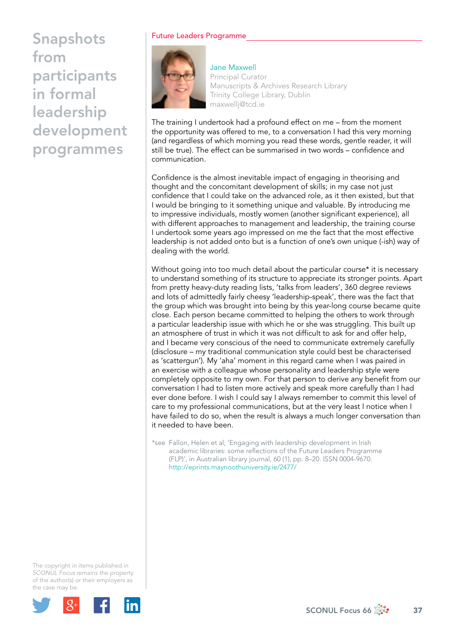## Future Leaders Programme



Jane Maxwell Principal Curator Manuscripts & Archives Research Library Trinity College Library, Dublin [maxwellj@tcd.ie](mailto:maxwellj@tcd.ie)

The training I undertook had a profound effect on me – from the moment the opportunity was offered to me, to a conversation I had this very morning (and regardless of which morning you read these words, gentle reader, it will still be true). The effect can be summarised in two words – confidence and communication.

Confidence is the almost inevitable impact of engaging in theorising and thought and the concomitant development of skills; in my case not just confidence that I could take on the advanced role, as it then existed, but that I would be bringing to it something unique and valuable. By introducing me to impressive individuals, mostly women (another significant experience), all with different approaches to management and leadership, the training course I undertook some years ago impressed on me the fact that the most effective leadership is not added onto but is a function of one's own unique (-ish) way of dealing with the world.

Without going into too much detail about the particular course\* it is necessary to understand something of its structure to appreciate its stronger points. Apart from pretty heavy-duty reading lists, 'talks from leaders', 360 degree reviews and lots of admittedly fairly cheesy 'leadership-speak', there was the fact that the group which was brought into being by this year-long course became quite close. Each person became committed to helping the others to work through a particular leadership issue with which he or she was struggling. This built up an atmosphere of trust in which it was not difficult to ask for and offer help, and I became very conscious of the need to communicate extremely carefully (disclosure – my traditional communication style could best be characterised as 'scattergun'). My 'aha' moment in this regard came when I was paired in an exercise with a colleague whose personality and leadership style were completely opposite to my own. For that person to derive any benefit from our conversation I had to listen more actively and speak more carefully than I had ever done before. I wish I could say I always remember to commit this level of care to my professional communications, but at the very least I notice when I have failed to do so, when the result is always a much longer conversation than it needed to have been.

\*see Fallon, Helen et al, 'Engaging with leadership development in Irish academic libraries: some reflections of the Future Leaders Programme (FLP)', in Australian library journal, 60 (1), pp. 8–20. ISSN 0004-9670. [http://eprints.maynoothuniversity.ie/2477/](http://eprints.maynoothuniversity.ie/2477)

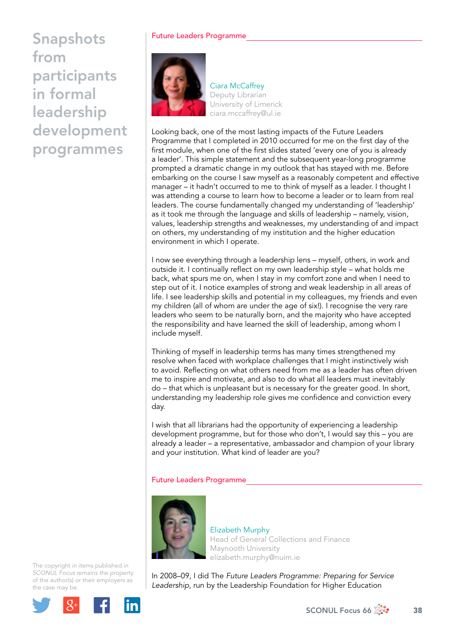## Future Leaders Programme



Ciara McCaffrey Deputy Librarian University of Limerick [ciara.mccaffrey@ul.ie](mailto:ciara.mccaffrey@ul.ie)

Looking back, one of the most lasting impacts of the Future Leaders Programme that I completed in 2010 occurred for me on the first day of the first module, when one of the first slides stated 'every one of you is already a leader'. This simple statement and the subsequent year-long programme prompted a dramatic change in my outlook that has stayed with me. Before embarking on the course I saw myself as a reasonably competent and effective manager – it hadn't occurred to me to think of myself as a leader. I thought I was attending a course to learn how to become a leader or to learn from real leaders. The course fundamentally changed my understanding of 'leadership' as it took me through the language and skills of leadership – namely, vision, values, leadership strengths and weaknesses, my understanding of and impact on others, my understanding of my institution and the higher education environment in which I operate.

I now see everything through a leadership lens – myself, others, in work and outside it. I continually reflect on my own leadership style – what holds me back, what spurs me on, when I stay in my comfort zone and when I need to step out of it. I notice examples of strong and weak leadership in all areas of life. I see leadership skills and potential in my colleagues, my friends and even my children (all of whom are under the age of six!). I recognise the very rare leaders who seem to be naturally born, and the majority who have accepted the responsibility and have learned the skill of leadership, among whom I include myself.

Thinking of myself in leadership terms has many times strengthened my resolve when faced with workplace challenges that I might instinctively wish to avoid. Reflecting on what others need from me as a leader has often driven me to inspire and motivate, and also to do what all leaders must inevitably do – that which is unpleasant but is necessary for the greater good. In short, understanding my leadership role gives me confidence and conviction every day.

I wish that all librarians had the opportunity of experiencing a leadership development programme, but for those who don't, I would say this – you are already a leader – a representative, ambassador and champion of your library and your institution. What kind of leader are you?

## Future Leaders Programme



Elizabeth Murphy Head of General Collections and Finance Maynooth University [elizabeth.murphy@nuim.ie](mailto:elizabeth.murphy@nuim.ie)

In 2008–09, I did The *Future Leaders Programme: Preparing for Service Leadership*, run by the Leadership Foundation for Higher Education

The copyright in items published in *SCONUL Focus* remains the property of the author(s) or their employers as the case may be.



SCONUL Focus 66  $\frac{1}{200}$  38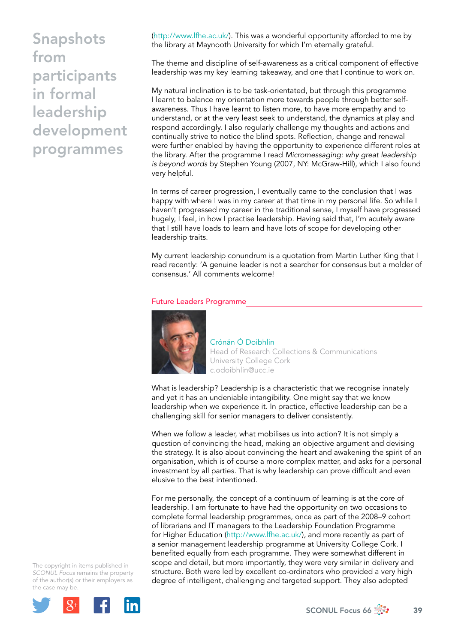[\(http://www.lfhe.ac.uk/](http://www.lfhe.ac.uk)). This was a wonderful opportunity afforded to me by the library at Maynooth University for which I'm eternally grateful.

The theme and discipline of self-awareness as a critical component of effective leadership was my key learning takeaway, and one that I continue to work on.

My natural inclination is to be task-orientated, but through this programme I learnt to balance my orientation more towards people through better selfawareness. Thus I have learnt to listen more, to have more empathy and to understand, or at the very least seek to understand, the dynamics at play and respond accordingly. I also regularly challenge my thoughts and actions and continually strive to notice the blind spots. Reflection, change and renewal were further enabled by having the opportunity to experience different roles at the library. After the programme I read *Micromessaging: why great leadership is beyond words* by Stephen Young (2007, NY: McGraw-Hill), which I also found very helpful.

In terms of career progression, I eventually came to the conclusion that I was happy with where I was in my career at that time in my personal life. So while I haven't progressed my career in the traditional sense, I myself have progressed hugely, I feel, in how I practise leadership. Having said that, I'm acutely aware that I still have loads to learn and have lots of scope for developing other leadership traits.

My current leadership conundrum is a quotation from Martin Luther King that I read recently: 'A genuine leader is not a searcher for consensus but a molder of consensus.' All comments welcome!

#### Future Leaders Programme



Crónán Ó Doibhlin Head of Research Collections & Communications University College Cork [c.odoibhlin@ucc.ie](mailto:c.odoibhlin@ucc.ie) 

What is leadership? Leadership is a characteristic that we recognise innately and yet it has an undeniable intangibility. One might say that we know leadership when we experience it. In practice, effective leadership can be a challenging skill for senior managers to deliver consistently.

When we follow a leader, what mobilises us into action? It is not simply a question of convincing the head, making an objective argument and devising the strategy. It is also about convincing the heart and awakening the spirit of an organisation, which is of course a more complex matter, and asks for a personal investment by all parties. That is why leadership can prove difficult and even elusive to the best intentioned.

For me personally, the concept of a continuum of learning is at the core of leadership. I am fortunate to have had the opportunity on two occasions to complete formal leadership programmes, once as part of the 2008–9 cohort of librarians and IT managers to the Leadership Foundation Programme for Higher Education (<http://www.lfhe.ac.uk>/), and more recently as part of a senior management leadership programme at University College Cork. I benefited equally from each programme. They were somewhat different in scope and detail, but more importantly, they were very similar in delivery and structure. Both were led by excellent co-ordinators who provided a very high degree of intelligent, challenging and targeted support. They also adopted

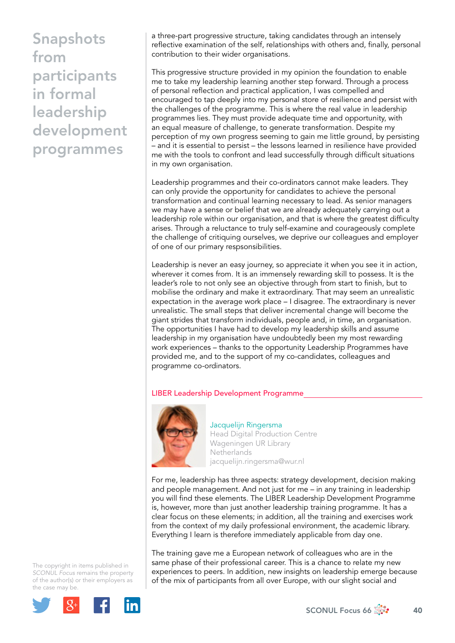a three-part progressive structure, taking candidates through an intensely reflective examination of the self, relationships with others and, finally, personal contribution to their wider organisations.

This progressive structure provided in my opinion the foundation to enable me to take my leadership learning another step forward. Through a process of personal reflection and practical application, I was compelled and encouraged to tap deeply into my personal store of resilience and persist with the challenges of the programme. This is where the real value in leadership programmes lies. They must provide adequate time and opportunity, with an equal measure of challenge, to generate transformation. Despite my perception of my own progress seeming to gain me little ground, by persisting – and it is essential to persist – the lessons learned in resilience have provided me with the tools to confront and lead successfully through difficult situations in my own organisation.

Leadership programmes and their co-ordinators cannot make leaders. They can only provide the opportunity for candidates to achieve the personal transformation and continual learning necessary to lead. As senior managers we may have a sense or belief that we are already adequately carrying out a leadership role within our organisation, and that is where the greatest difficulty arises. Through a reluctance to truly self-examine and courageously complete the challenge of critiquing ourselves, we deprive our colleagues and employer of one of our primary respsonsibilities.

Leadership is never an easy journey, so appreciate it when you see it in action, wherever it comes from. It is an immensely rewarding skill to possess. It is the leader's role to not only see an objective through from start to finish, but to mobilise the ordinary and make it extraordinary. That may seem an unrealistic expectation in the average work place – I disagree. The extraordinary is never unrealistic. The small steps that deliver incremental change will become the giant strides that transform individuals, people and, in time, an organisation. The opportunities I have had to develop my leadership skills and assume leadership in my organisation have undoubtedly been my most rewarding work experiences – thanks to the opportunity Leadership Programmes have provided me, and to the support of my co-candidates, colleagues and programme co-ordinators.

### LIBER Leadership Development Programme



Jacquelijn Ringersma Head Digital Production Centre Wageningen UR Library **Netherlands** [jacquelijn.ringersma@wur.nl](mailto:jacquelijn.ringersma@wur.nl)

For me, leadership has three aspects: strategy development, decision making and people management. And not just for me – in any training in leadership you will find these elements. The LIBER Leadership Development Programme is, however, more than just another leadership training programme. It has a clear focus on these elements; in addition, all the training and exercises work from the context of my daily professional environment, the academic library. Everything I learn is therefore immediately applicable from day one.

The training gave me a European network of colleagues who are in the same phase of their professional career. This is a chance to relate my new experiences to peers. In addition, new insights on leadership emerge because of the mix of participants from all over Europe, with our slight social and

The copyright in items published in *SCONUL Focus* remains the property of the author(s) or their employers as the case may be.



SCONUL Focus 66  $\frac{4}{200}$  40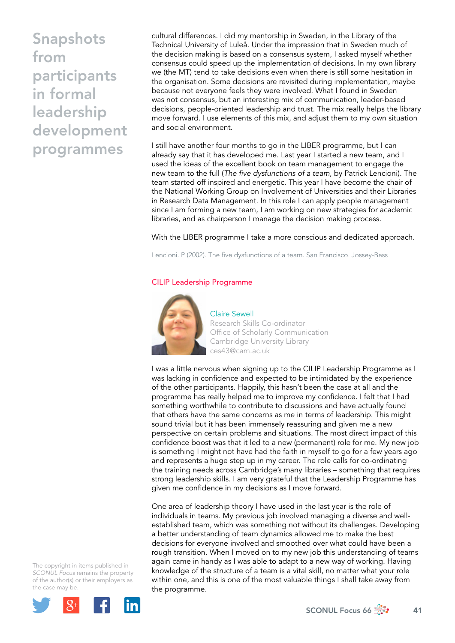cultural differences. I did my mentorship in Sweden, in the Library of the Technical University of Luleå. Under the impression that in Sweden much of the decision making is based on a consensus system, I asked myself whether consensus could speed up the implementation of decisions. In my own library we (the MT) tend to take decisions even when there is still some hesitation in the organisation. Some decisions are revisited during implementation, maybe because not everyone feels they were involved. What I found in Sweden was not consensus, but an interesting mix of communication, leader-based decisions, people-oriented leadership and trust. The mix really helps the library move forward. I use elements of this mix, and adjust them to my own situation and social environment.

I still have another four months to go in the LIBER programme, but I can already say that it has developed me. Last year I started a new team, and I used the ideas of the excellent book on team management to engage the new team to the full (*The five dysfunctions of a team*, by Patrick Lencioni). The team started off inspired and energetic. This year I have become the chair of the National Working Group on Involvement of Universities and their Libraries in Research Data Management. In this role I can apply people management since I am forming a new team, I am working on new strategies for academic libraries, and as chairperson I manage the decision making process.

With the LIBER programme I take a more conscious and dedicated approach.

Lencioni. P (2002). The five dysfunctions of a team. San Francisco. Jossey-Bass

### CILIP Leadership Programme



Claire Sewell Research Skills Co-ordinator Office of Scholarly Communication Cambridge University Library [ces43@cam.ac.uk](mailto:ces43@cam.ac.uk)

I was a little nervous when signing up to the CILIP Leadership Programme as I was lacking in confidence and expected to be intimidated by the experience of the other participants. Happily, this hasn't been the case at all and the programme has really helped me to improve my confidence. I felt that I had something worthwhile to contribute to discussions and have actually found that others have the same concerns as me in terms of leadership. This might sound trivial but it has been immensely reassuring and given me a new perspective on certain problems and situations. The most direct impact of this confidence boost was that it led to a new (permanent) role for me. My new job is something I might not have had the faith in myself to go for a few years ago and represents a huge step up in my career. The role calls for co-ordinating the training needs across Cambridge's many libraries – something that requires strong leadership skills. I am very grateful that the Leadership Programme has given me confidence in my decisions as I move forward.

One area of leadership theory I have used in the last year is the role of individuals in teams. My previous job involved managing a diverse and wellestablished team, which was something not without its challenges. Developing a better understanding of team dynamics allowed me to make the best decisions for everyone involved and smoothed over what could have been a rough transition. When I moved on to my new job this understanding of teams again came in handy as I was able to adapt to a new way of working. Having knowledge of the structure of a team is a vital skill, no matter what your role within one, and this is one of the most valuable things I shall take away from the programme.

The copyright in items published in *SCONUL Focus* remains the property of the author(s) or their employers as the case may be.



SCONUL Focus 66  $\frac{4}{200}$  41